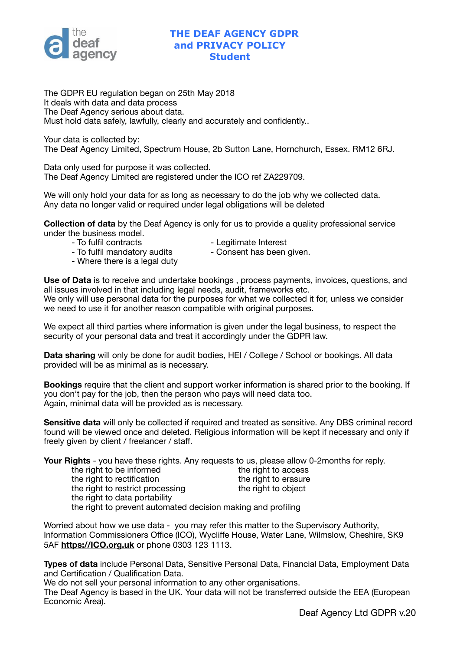

## **THE DEAF AGENCY GDPR and PRIVACY POLICY Student**

The GDPR EU regulation began on 25th May 2018 It deals with data and data process The Deaf Agency serious about data. Must hold data safely, lawfully, clearly and accurately and confidently..

Your data is collected by: The Deaf Agency Limited, Spectrum House, 2b Sutton Lane, Hornchurch, Essex. RM12 6RJ.

Data only used for purpose it was collected. The Deaf Agency Limited are registered under the ICO ref ZA229709.

We will only hold your data for as long as necessary to do the job why we collected data. Any data no longer valid or required under legal obligations will be deleted

**Collection of data** by the Deaf Agency is only for us to provide a quality professional service under the business model.

- To fulfil contracts and the Legitimate Interest
	-
- To fulfil mandatory audits **Consent has been given**.
- Where there is a legal duty

**Use of Data** is to receive and undertake bookings , process payments, invoices, questions, and all issues involved in that including legal needs, audit, frameworks etc. We only will use personal data for the purposes for what we collected it for, unless we consider

we need to use it for another reason compatible with original purposes.

We expect all third parties where information is given under the legal business, to respect the security of your personal data and treat it accordingly under the GDPR law.

**Data sharing** will only be done for audit bodies, HEI / College / School or bookings. All data provided will be as minimal as is necessary.

**Bookings** require that the client and support worker information is shared prior to the booking. If you don't pay for the job, then the person who pays will need data too. Again, minimal data will be provided as is necessary.

**Sensitive data** will only be collected if required and treated as sensitive. Any DBS criminal record found will be viewed once and deleted. Religious information will be kept if necessary and only if freely given by client / freelancer / staff.

Your Rights - you have these rights. Any requests to us, please allow 0-2months for reply.

| the right to be informed         |
|----------------------------------|
| the right to rectification       |
| the right to restrict processing |
| the right to data portability    |

the right to access the right to erasure g and the right to object

the right to prevent automated decision making and profiling

Worried about how we use data - you may refer this matter to the Supervisory Authority, Information Commissioners Office (ICO), Wycliffe House, Water Lane, Wilmslow, Cheshire, SK9 5AF **<https://ICO.org.uk>** or phone 0303 123 1113.

**Types of data** include Personal Data, Sensitive Personal Data, Financial Data, Employment Data and Certification / Qualification Data.

We do not sell your personal information to any other organisations. The Deaf Agency is based in the UK. Your data will not be transferred outside the EEA (European Economic Area).